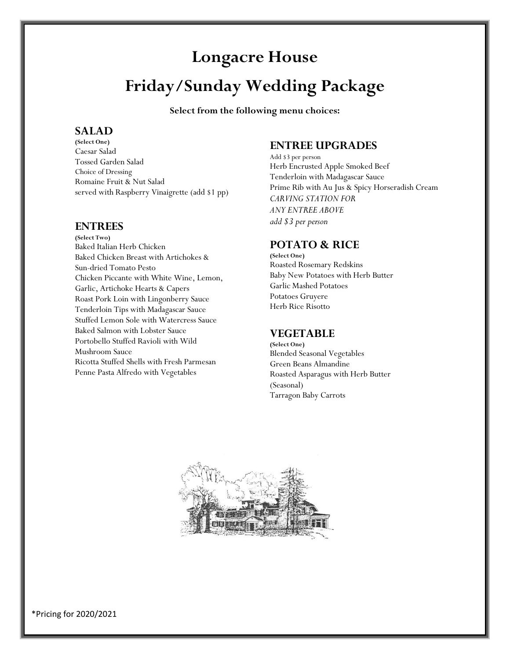# **Longacre House**

# **Friday/Sunday Wedding Package**

**Select from the following menu choices:**

## **SALAD**

**(Select One)** Caesar Salad Tossed Garden Salad Choice of Dressing Romaine Fruit & Nut Salad served with Raspberry Vinaigrette (add \$1 pp)

## **ENTREES**

**(Select Two)** Baked Italian Herb Chicken Baked Chicken Breast with Artichokes & Sun-dried Tomato Pesto Chicken Piccante with White Wine, Lemon, Garlic, Artichoke Hearts & Capers Roast Pork Loin with Lingonberry Sauce Tenderloin Tips with Madagascar Sauce Stuffed Lemon Sole with Watercress Sauce Baked Salmon with Lobster Sauce Portobello Stuffed Ravioli with Wild Mushroom Sauce Ricotta Stuffed Shells with Fresh Parmesan Penne Pasta Alfredo with Vegetables

## **ENTREE UPGRADES**

Add \$3 per person Herb Encrusted Apple Smoked Beef Tenderloin with Madagascar Sauce Prime Rib with Au Jus & Spicy Horseradish Cream *CARVING STATION FOR ANY ENTREE ABOVE add \$3 per person*

## **POTATO & RICE**

**(Select One)** Roasted Rosemary Redskins Baby New Potatoes with Herb Butter Garlic Mashed Potatoes Potatoes Gruyere Herb Rice Risotto

# **VEGETABLE**

**(Select One)** Blended Seasonal Vegetables Green Beans Almandine Roasted Asparagus with Herb Butter (Seasonal) Tarragon Baby Carrots